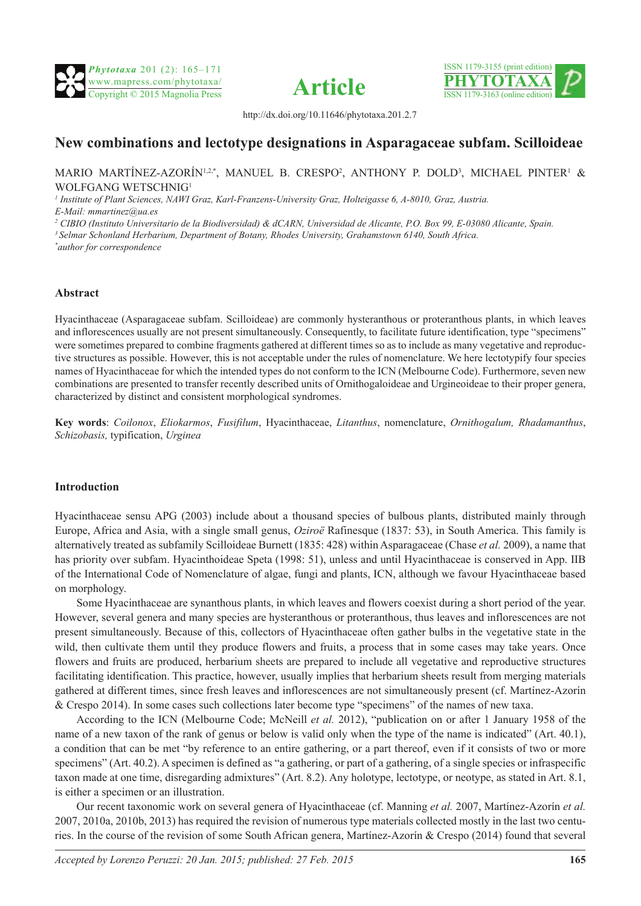





http://dx.doi.org/10.11646/phytotaxa.201.2.7

# **New combinations and lectotype designations in Asparagaceae subfam. Scilloideae**

#### MARIO MARTÍNEZ-AZORÍN $^{1,2,*}$ , MANUEL B. CRESPO $^2$ , ANTHONY P. DOLD $^3$ , MICHAEL PINTER $^1$  & WOLFGANG WETSCHNIG1

<sup>1</sup> Institute of Plant Sciences, NAWI Graz, Karl-Franzens-University Graz, Holteigasse 6, A-8010, Graz, Austria.

*E-Mail: mmartinez@ua.es*

*2 CIBIO (Instituto Universitario de la Biodiversidad) & dCARN, Universidad de Alicante, P.O. Box 99, E-03080 Alicante, Spain.*

*3 Selmar Schonland Herbarium, Department of Botany, Rhodes University, Grahamstown 6140, South Africa.*

*\* author for correspondence*

#### **Abstract**

Hyacinthaceae (Asparagaceae subfam. Scilloideae) are commonly hysteranthous or proteranthous plants, in which leaves and inflorescences usually are not present simultaneously. Consequently, to facilitate future identification, type "specimens" were sometimes prepared to combine fragments gathered at different times so as to include as many vegetative and reproductive structures as possible. However, this is not acceptable under the rules of nomenclature. We here lectotypify four species names of Hyacinthaceae for which the intended types do not conform to the ICN (Melbourne Code). Furthermore, seven new combinations are presented to transfer recently described units of Ornithogaloideae and Urgineoideae to their proper genera, characterized by distinct and consistent morphological syndromes.

**Key words**: *Coilonox*, *Eliokarmos*, *Fusifilum*, Hyacinthaceae, *Litanthus*, nomenclature, *Ornithogalum, Rhadamanthus*, *Schizobasis,* typification, *Urginea*

#### **Introduction**

Hyacinthaceae sensu APG (2003) include about a thousand species of bulbous plants, distributed mainly through Europe, Africa and Asia, with a single small genus, *Oziroë* Rafinesque (1837: 53), in South America. This family is alternatively treated as subfamily Scilloideae Burnett (1835: 428) within Asparagaceae (Chase *et al.* 2009), a name that has priority over subfam. Hyacinthoideae Speta (1998: 51), unless and until Hyacinthaceae is conserved in App. IIB of the International Code of Nomenclature of algae, fungi and plants, ICN, although we favour Hyacinthaceae based on morphology.

Some Hyacinthaceae are synanthous plants, in which leaves and flowers coexist during a short period of the year. However, several genera and many species are hysteranthous or proteranthous, thus leaves and inflorescences are not present simultaneously. Because of this, collectors of Hyacinthaceae often gather bulbs in the vegetative state in the wild, then cultivate them until they produce flowers and fruits, a process that in some cases may take years. Once flowers and fruits are produced, herbarium sheets are prepared to include all vegetative and reproductive structures facilitating identification. This practice, however, usually implies that herbarium sheets result from merging materials gathered at different times, since fresh leaves and inflorescences are not simultaneously present (cf. Martínez-Azorín & Crespo 2014). In some cases such collections later become type "specimens" of the names of new taxa.

According to the ICN (Melbourne Code; McNeill *et al.* 2012), "publication on or after 1 January 1958 of the name of a new taxon of the rank of genus or below is valid only when the type of the name is indicated" (Art. 40.1), a condition that can be met "by reference to an entire gathering, or a part thereof, even if it consists of two or more specimens" (Art. 40.2). A specimen is defined as "a gathering, or part of a gathering, of a single species or infraspecific taxon made at one time, disregarding admixtures" (Art. 8.2). Any holotype, lectotype, or neotype, as stated in Art. 8.1, is either a specimen or an illustration.

Our recent taxonomic work on several genera of Hyacinthaceae (cf. Manning *et al.* 2007, Martínez-Azorín *et al.* 2007, 2010a, 2010b, 2013) has required the revision of numerous type materials collected mostly in the last two centuries. In the course of the revision of some South African genera, Martínez-Azorín & Crespo (2014) found that several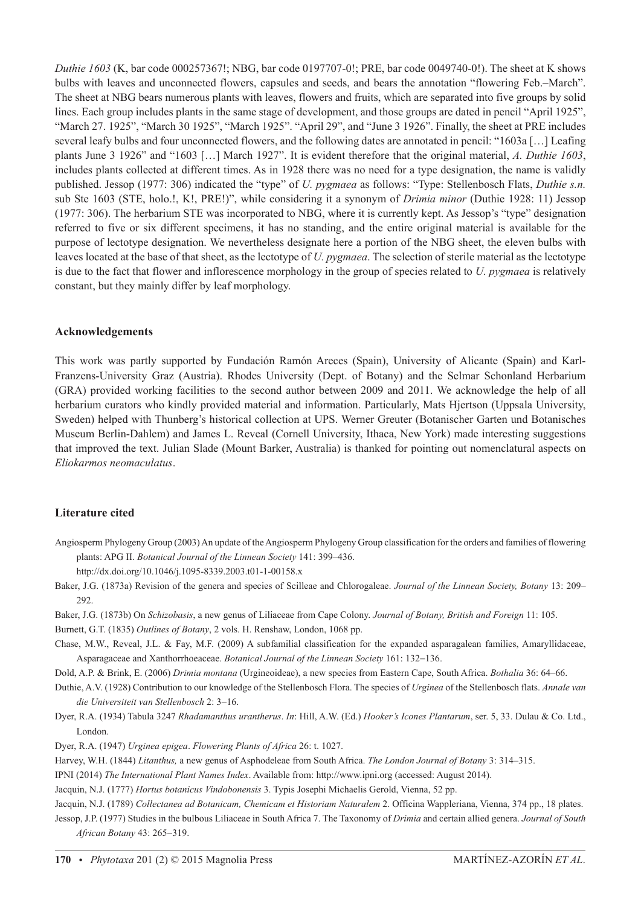*Duthie 1603* (K, bar code 000257367!; NBG, bar code 0197707-0!; PRE, bar code 0049740-0!). The sheet at K shows bulbs with leaves and unconnected flowers, capsules and seeds, and bears the annotation "flowering Feb.–March". The sheet at NBG bears numerous plants with leaves, flowers and fruits, which are separated into five groups by solid lines. Each group includes plants in the same stage of development, and those groups are dated in pencil "April 1925", "March 27. 1925", "March 30 1925", "March 1925". "April 29", and "June 3 1926". Finally, the sheet at PRE includes several leafy bulbs and four unconnected flowers, and the following dates are annotated in pencil: "1603a [...] Leafing plants June 3 1926" and "1603 […] March 1927". It is evident therefore that the original material, *A. Duthie 1603*, includes plants collected at different times. As in 1928 there was no need for a type designation, the name is validly published. Jessop (1977: 306) indicated the "type" of *U. pygmaea* as follows: "Type: Stellenbosch Flats, *Duthie s.n.* sub Ste 1603 (STE, holo.!, K!, PRE!)", while considering it a synonym of *Drimia minor* (Duthie 1928: 11) Jessop (1977: 306). The herbarium STE was incorporated to NBG, where it is currently kept. As Jessop's "type" designation referred to five or six different specimens, it has no standing, and the entire original material is available for the purpose of lectotype designation. We nevertheless designate here a portion of the NBG sheet, the eleven bulbs with leaves located at the base of that sheet, as the lectotype of *U. pygmaea*. The selection of sterile material as the lectotype is due to the fact that flower and inflorescence morphology in the group of species related to *U. pygmaea* is relatively constant, but they mainly differ by leaf morphology.

### **Acknowledgements**

This work was partly supported by Fundación Ramón Areces (Spain), University of Alicante (Spain) and Karl-Franzens-University Graz (Austria). Rhodes University (Dept. of Botany) and the Selmar Schonland Herbarium (GRA) provided working facilities to the second author between 2009 and 2011. We acknowledge the help of all herbarium curators who kindly provided material and information. Particularly, Mats Hjertson (Uppsala University, Sweden) helped with Thunberg's historical collection at UPS. Werner Greuter (Botanischer Garten und Botanisches Museum Berlin-Dahlem) and James L. Reveal (Cornell University, Ithaca, New York) made interesting suggestions that improved the text. Julian Slade (Mount Barker, Australia) is thanked for pointing out nomenclatural aspects on *Eliokarmos neomaculatus*.

## **Literature cited**

Angiosperm Phylogeny Group (2003) An update of the Angiosperm Phylogeny Group classification for the orders and families of flowering plants: APG II. *Botanical Journal of the Linnean Society* 141: 399–436.

http://dx.doi.org/10.1046/j.1095-8339.2003.t01-1-00158.x

- Baker, J.G. (1873a) Revision of the genera and species of Scilleae and Chlorogaleae. *Journal of the Linnean Society, Botany* 13: 209– 292.
- Baker, J.G. (1873b) On *Schizobasis*, a new genus of Liliaceae from Cape Colony. *Journal of Botany, British and Foreign* 11: 105.

Burnett, G.T. (1835) *Outlines of Botany*, 2 vols. H. Renshaw, London, 1068 pp.

Chase, M.W., Reveal, J.L. & Fay, M.F. (2009) A subfamilial classification for the expanded asparagalean families, Amaryllidaceae, Asparagaceae and Xanthorrhoeaceae. *Botanical Journal of the Linnean Society* 161: 132−136.

Dold, A.P. & Brink, E. (2006) *Drimia montana* (Urgineoideae), a new species from Eastern Cape, South Africa. *Bothalia* 36: 64–66.

- Duthie, A.V. (1928) Contribution to our knowledge of the Stellenbosch Flora. The species of *Urginea* of the Stellenbosch flats. *Annale van die Universiteit van Stellenbosch* 2: 3−16.
- Dyer, R.A. (1934) Tabula 3247 *Rhadamanthus urantherus*. *In*: Hill, A.W. (Ed.) *Hooker's Icones Plantarum*, ser. 5, 33. Dulau & Co. Ltd., London.
- Dyer, R.A. (1947) *Urginea epigea*. *Flowering Plants of Africa* 26: t. 1027.
- Harvey, W.H. (1844) *Litanthus,* a new genus of Asphodeleae from South Africa. *The London Journal of Botany* 3: 314–315.
- IPNI (2014) *The International Plant Names Index*. Available from: http://www.ipni.org (accessed: August 2014).
- Jacquin, N.J. (1777) *Hortus botanicus Vindobonensis* 3. Typis Josephi Michaelis Gerold, Vienna, 52 pp.

Jacquin, N.J. (1789) *Collectanea ad Botanicam, Chemicam et Historiam Naturalem* 2. Officina Wappleriana, Vienna, 374 pp., 18 plates. Jessop, J.P. (1977) Studies in the bulbous Liliaceae in South Africa 7. The Taxonomy of *Drimia* and certain allied genera. *Journal of South African Botany* 43: 265−319.